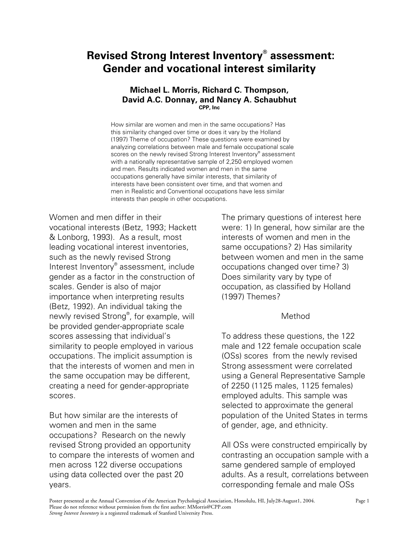# **Revised Strong Interest Inventory® assessment: Gender and vocational interest similarity**

#### **Michael L. Morris, Richard C. Thompson, David A.C. Donnay, and Nancy A. Schaubhut CPP, Inc**

How similar are women and men in the same occupations? Has this similarity changed over time or does it vary by the Holland (1997) Theme of occupation? These questions were examined by analyzing correlations between male and female occupational scale scores on the newly revised Strong Interest Inventory® assessment with a nationally representative sample of 2,250 employed women and men. Results indicated women and men in the same occupations generally have similar interests, that similarity of interests have been consistent over time, and that women and men in Realistic and Conventional occupations have less similar interests than people in other occupations.

Women and men differ in their vocational interests (Betz, 1993; Hackett & Lonborg, 1993). As a result, most leading vocational interest inventories, such as the newly revised Strong Interest Inventory® assessment, include gender as a factor in the construction of scales. Gender is also of major importance when interpreting results (Betz, 1992). An individual taking the newly revised Strong® , for example, will be provided gender-appropriate scale scores assessing that individual's similarity to people employed in various occupations. The implicit assumption is that the interests of women and men in the same occupation may be different, creating a need for gender-appropriate scores.

But how similar are the interests of women and men in the same occupations? Research on the newly revised Strong provided an opportunity to compare the interests of women and men across 122 diverse occupations using data collected over the past 20 years.

The primary questions of interest here were: 1) In general, how similar are the interests of women and men in the same occupations? 2) Has similarity between women and men in the same occupations changed over time? 3) Does similarity vary by type of occupation, as classified by Holland (1997) Themes?

### Method

To address these questions, the 122 male and 122 female occupation scale (OSs) scores from the newly revised Strong assessment were correlated using a General Representative Sample of 2250 (1125 males, 1125 females) employed adults. This sample was selected to approximate the general population of the United States in terms of gender, age, and ethnicity.

All OSs were constructed empirically by contrasting an occupation sample with a same gendered sample of employed adults. As a result, correlations between corresponding female and male OSs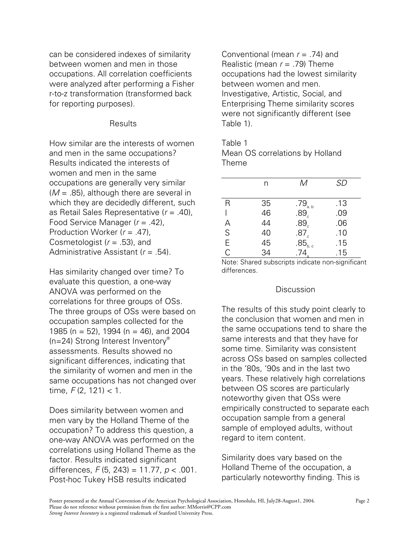can be considered indexes of similarity between women and men in those occupations. All correlation coefficients were analyzed after performing a Fisher r-to-z transformation (transformed back for reporting purposes).

# **Results**

How similar are the interests of women and men in the same occupations? Results indicated the interests of women and men in the same occupations are generally very similar (*M* = .85), although there are several in which they are decidedly different, such as Retail Sales Representative (*r* = .40), Food Service Manager (*r* = .42), Production Worker (*r* = .47), Cosmetologist (*r* = .53), and Administrative Assistant (*r* = .54).

Has similarity changed over time? To evaluate this question, a one-way ANOVA was performed on the correlations for three groups of OSs. The three groups of OSs were based on occupation samples collected for the 1985 (n = 52), 1994 (n = 46), and 2004 (n=24) Strong Interest Inventory® assessments. Results showed no significant differences, indicating that the similarity of women and men in the same occupations has not changed over time, *F* (2, 121) < 1.

Does similarity between women and men vary by the Holland Theme of the occupation? To address this question, a one-way ANOVA was performed on the correlations using Holland Theme as the factor. Results indicated significant differences, *F* (5, 243) = 11.77, *p* < .001. Post-hoc Tukey HSB results indicated

Conventional (mean  $r = 74$ ) and Realistic (mean *r* = .79) Theme occupations had the lowest similarity between women and men. Investigative, Artistic, Social, and Enterprising Theme similarity scores were not significantly different (see Table 1).

Table 1 Mean OS correlations by Holland Theme

|             | n  | М                                                                              | <b>SD</b> |
|-------------|----|--------------------------------------------------------------------------------|-----------|
| R           | 35 |                                                                                | .13       |
|             | 46 | $.79_{\scriptscriptstyle{\text{a.b}}}$<br>$.89_{\scriptscriptstyle{\text{c}}}$ | .09       |
| А           | 44 | $.89\overset{^{\circ}}{_{\circ}}$                                              | .06       |
| $\mathsf S$ | 40 | .87 <sub>c</sub>                                                               | .10       |
| E           | 45 | $.85_{\rm b.c}$                                                                | .15       |
| C           | 34 | 74                                                                             | .15       |

Note: Shared subscripts indicate non-significant differences.

### Discussion

The results of this study point clearly to the conclusion that women and men in the same occupations tend to share the same interests and that they have for some time. Similarity was consistent across OSs based on samples collected in the '80s, '90s and in the last two years. These relatively high correlations between OS scores are particularly noteworthy given that OSs were empirically constructed to separate each occupation sample from a general sample of employed adults, without regard to item content.

Similarity does vary based on the Holland Theme of the occupation, a particularly noteworthy finding. This is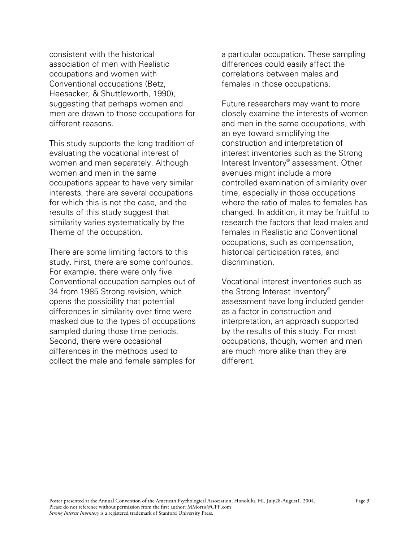consistent with the historical association of men with Realistic occupations and women with Conventional occupations (Betz, Heesacker, & Shuttleworth, 1990), suggesting that perhaps women and men are drawn to those occupations for different reasons.

This study supports the long tradition of evaluating the vocational interest of women and men separately. Although women and men in the same occupations appear to have very similar interests, there are several occupations for which this is not the case, and the results of this study suggest that similarity varies systematically by the Theme of the occupation.

There are some limiting factors to this study. First, there are some confounds. For example, there were only five Conventional occupation samples out of 34 from 1985 Strong revision, which opens the possibility that potential differences in similarity over time were masked due to the types of occupations sampled during those time periods. Second, there were occasional differences in the methods used to collect the male and female samples for

a particular occupation. These sampling differences could easily affect the correlations between males and females in those occupations.

Future researchers may want to more closely examine the interests of women and men in the same occupations, with an eye toward simplifying the construction and interpretation of interest inventories such as the Strong Interest Inventory® assessment. Other avenues might include a more controlled examination of similarity over time, especially in those occupations where the ratio of males to females has changed. In addition, it may be fruitful to research the factors that lead males and females in Realistic and Conventional occupations, such as compensation, historical participation rates, and discrimination.

Vocational interest inventories such as the Strong Interest Inventory® assessment have long included gender as a factor in construction and interpretation, an approach supported by the results of this study. For most occupations, though, women and men are much more alike than they are different.